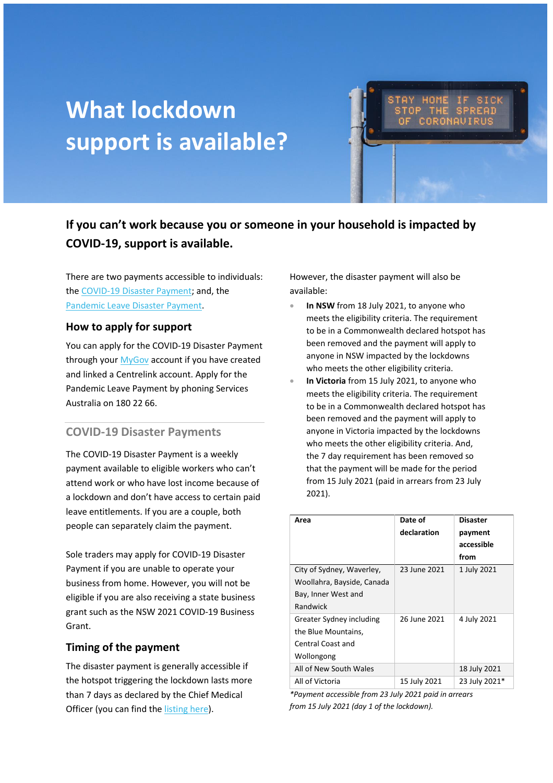# **What lockdown support is available?**

**If you can't work because you or someone in your household is impacted by COVID-19, support is available.**

There are two payments accessible to individuals: th[e COVID-19 Disaster Payment;](#page-0-0) and, the [Pandemic Leave Disaster Payment.](#page-1-0)

#### **How to apply for support**

You can apply for the COVID-19 Disaster Payment through you[r MyGov](https://my.gov.au/) account if you have created and linked a Centrelink account. Apply for the Pandemic Leave Payment by phoning Services Australia on 180 22 66.

## <span id="page-0-0"></span>**COVID-19 Disaster Payments**

The COVID-19 Disaster Payment is a weekly payment available to eligible workers who can't attend work or who have lost income because of a lockdown and don't have access to certain paid leave entitlements. If you are a couple, both people can separately claim the payment.

Sole traders may apply for COVID-19 Disaster Payment if you are unable to operate your business from home. However, you will not be eligible if you are also receiving a state business grant such as the NSW 2021 COVID-19 Business Grant.

#### **Timing of the payment**

The disaster payment is generally accessible if the hotspot triggering the lockdown lasts more than 7 days as declared by the Chief Medical Officer (you can find th[e listing here\)](https://www.health.gov.au/resources/publications/listing-areas-of-covid-19-local-transmission-as-hotspots).

However, the disaster payment will also be available:

- **In NSW** from 18 July 2021, to anyone who meets the eligibility criteria. The requirement to be in a Commonwealth declared hotspot has been removed and the payment will apply to anyone in NSW impacted by the lockdowns who meets the other eligibility criteria.
- **In Victoria** from 15 July 2021, to anyone who meets the eligibility criteria. The requirement to be in a Commonwealth declared hotspot has been removed and the payment will apply to anyone in Victoria impacted by the lockdowns who meets the other eligibility criteria. And, the 7 day requirement has been removed so that the payment will be made for the period from 15 July 2021 (paid in arrears from 23 July 2021).

| Area                                                    | Date of<br>declaration | <b>Disaster</b><br>payment<br>accessible<br>from |
|---------------------------------------------------------|------------------------|--------------------------------------------------|
| City of Sydney, Waverley,<br>Woollahra, Bayside, Canada | 23 June 2021           | 1 July 2021                                      |
| Bay, Inner West and                                     |                        |                                                  |
| Randwick                                                |                        |                                                  |
| Greater Sydney including                                | 26 June 2021           | 4 July 2021                                      |
| the Blue Mountains,                                     |                        |                                                  |
| Central Coast and                                       |                        |                                                  |
| Wollongong                                              |                        |                                                  |
| All of New South Wales                                  |                        | 18 July 2021                                     |
| All of Victoria                                         | 15 July 2021           | 23 July 2021*                                    |

*\*Payment accessible from 23 July 2021 paid in arrears from 15 July 2021 (day 1 of the lockdown).*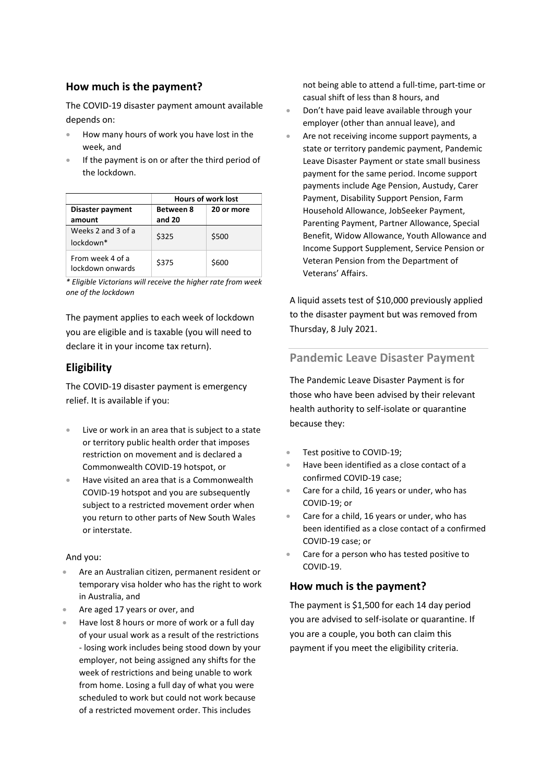#### **How much is the payment?**

The COVID-19 disaster payment amount available depends on:

- How many hours of work you have lost in the week, and
- If the payment is on or after the third period of the lockdown.

|                                      | <b>Hours of work lost</b> |            |
|--------------------------------------|---------------------------|------------|
| Disaster payment                     | <b>Between 8</b>          | 20 or more |
| amount                               | and 20                    |            |
| Weeks 2 and 3 of a                   | \$325                     | \$500      |
| $l$ nckdown $*$                      |                           |            |
| From week 4 of a<br>lockdown onwards | \$375                     | \$600      |

*\* Eligible Victorians will receive the higher rate from week one of the lockdown* 

The payment applies to each week of lockdown you are eligible and is taxable (you will need to declare it in your income tax return).

# **Eligibility**

The COVID-19 disaster payment is emergency relief. It is available if you:

- Live or work in an area that is subject to a state or territory public health order that imposes restriction on movement and is declared a Commonwealth COVID-19 hotspot, or
- Have visited an area that is a Commonwealth COVID-19 hotspot and you are subsequently subject to a restricted movement order when you return to other parts of New South Wales or interstate.

#### And you:

- Are an Australian citizen, permanent resident or temporary visa holder who has the right to work in Australia, and
- Are aged 17 years or over, and
- Have lost 8 hours or more of work or a full day of your usual work as a result of the restrictions - losing work includes being stood down by your employer, not being assigned any shifts for the week of restrictions and being unable to work from home. Losing a full day of what you were scheduled to work but could not work because of a restricted movement order. This includes

not being able to attend a full-time, part-time or casual shift of less than 8 hours, and

- Don't have paid leave available through your employer (other than annual leave), and
- Are not receiving income support payments, a state or territory pandemic payment, Pandemic Leave Disaster Payment or state small business payment for the same period. Income support payments include Age Pension, Austudy, Carer Payment, Disability Support Pension, Farm Household Allowance, JobSeeker Payment, Parenting Payment, Partner Allowance, Special Benefit, Widow Allowance, Youth Allowance and Income Support Supplement, Service Pension or Veteran Pension from the Department of Veterans' Affairs.

A liquid assets test of \$10,000 previously applied to the disaster payment but was removed from Thursday, 8 July 2021.

# <span id="page-1-0"></span>**Pandemic Leave Disaster Payment**

The Pandemic Leave Disaster Payment is for those who have been advised by their relevant health authority to self-isolate or quarantine because they:

- Test positive to COVID-19;
- Have been identified as a close contact of a confirmed COVID-19 case;
- Care for a child, 16 years or under, who has COVID-19; or
- Care for a child, 16 years or under, who has been identified as a close contact of a confirmed COVID-19 case; or
- Care for a person who has tested positive to COVID-19.

#### **How much is the payment?**

The payment is \$1,500 for each 14 day period you are advised to self-isolate or quarantine. If you are a couple, you both can claim this payment if you meet the eligibility criteria.